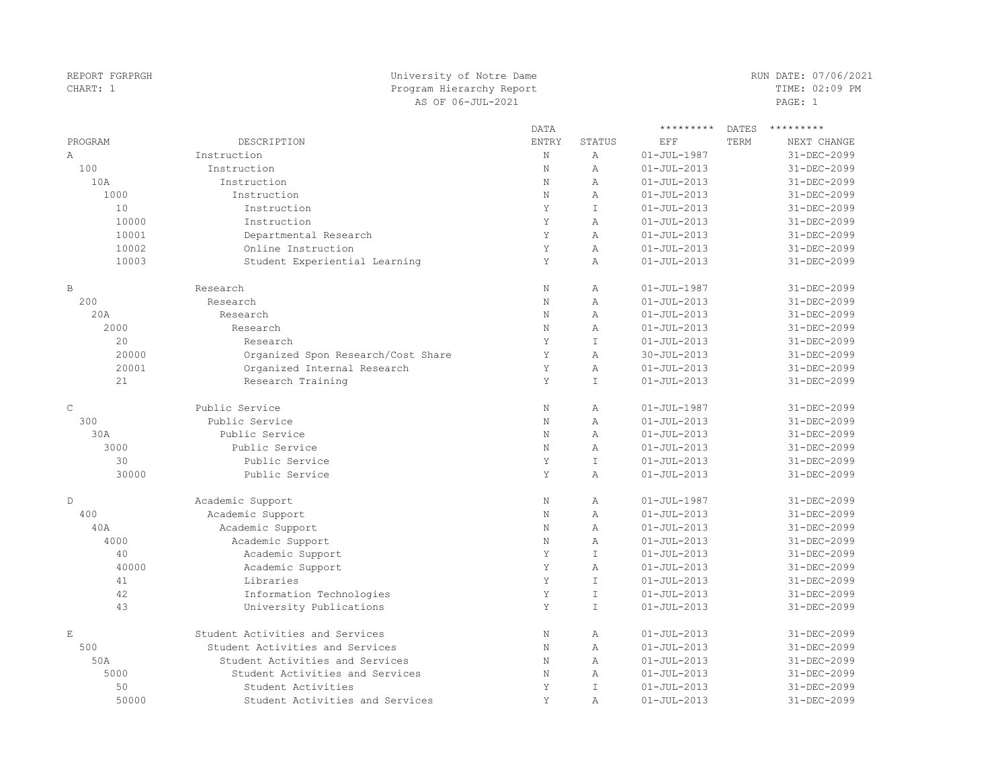| REPORT FGRPRGH | University of Notre Dame           |              |                |                   |              | RUN DATE: 07/06/2021 |  |
|----------------|------------------------------------|--------------|----------------|-------------------|--------------|----------------------|--|
| CHART: 1       | Program Hierarchy Report           |              | TIME: 02:09 PM |                   |              |                      |  |
|                | AS OF 06-JUL-2021                  |              |                |                   |              | PAGE: 1              |  |
|                |                                    | DATA         |                | *********         | <b>DATES</b> | *********            |  |
| PROGRAM        | DESCRIPTION                        | <b>ENTRY</b> | <b>STATUS</b>  | EFF               | TERM         | NEXT CHANGE          |  |
| Α              | Instruction                        | $\rm N$      | $\mathbb A$    | $01 - JUL - 1987$ |              | 31-DEC-2099          |  |
| 100            | Instruction                        | $\mathbf N$  | $\overline{A}$ | $01 - JUL - 2013$ |              | 31-DEC-2099          |  |
| 10A            | Instruction                        | $\mathbb N$  | A              | $01 - JUL - 2013$ |              | 31-DEC-2099          |  |
| 1000           | Instruction                        | $\mathbf N$  | A              | $01 - JUL - 2013$ |              | 31-DEC-2099          |  |
| 10             | Instruction                        | Y            | $\mathsf{T}$   | $01 - JUL - 2013$ |              | 31-DEC-2099          |  |
| 10000          | Instruction                        | Y            | $\overline{A}$ | $01 - JUL - 2013$ |              | 31-DEC-2099          |  |
| 10001          | Departmental Research              | Y            | $\overline{A}$ | $01 - JUL - 2013$ |              | 31-DEC-2099          |  |
| 10002          | Online Instruction                 | $\mathbf Y$  | $\overline{A}$ | $01 - JUL - 2013$ |              | 31-DEC-2099          |  |
| 10003          | Student Experiential Learning      | Y            | $\,$ A         | $01 - JUL - 2013$ |              | 31-DEC-2099          |  |
| $\mathbb B$    | Research                           | $\mathbf N$  | $\overline{A}$ | $01 - JUL - 1987$ |              | 31-DEC-2099          |  |
| 200            | Research                           | $\mathbb N$  | $\overline{A}$ | $01 - JUL - 2013$ |              | 31-DEC-2099          |  |
| 20A            | Research                           | $\mathbb N$  | $\overline{A}$ | $01 - JUL - 2013$ |              | 31-DEC-2099          |  |
| 2000           | Research                           | $\mathbb N$  | $\overline{A}$ | $01 - JUL - 2013$ |              | 31-DEC-2099          |  |
| 20             | Research                           | Y            | $\mathbbm{I}$  | $01 - JUL - 2013$ |              | 31-DEC-2099          |  |
| 20000          | Organized Spon Research/Cost Share | Y            | A              | $30 - JUL - 2013$ |              | 31-DEC-2099          |  |
| 20001          | Organized Internal Research        | Y            | $\overline{A}$ | $01 - JUL - 2013$ |              | 31-DEC-2099          |  |
| 21             | Research Training                  | Y            | $\mathbb T$    | $01 - JUL - 2013$ |              | 31-DEC-2099          |  |
| $\mathsf C$    | Public Service                     | N            | $\mathbb{A}$   | $01 - JUL - 1987$ |              | 31-DEC-2099          |  |
| 300            | Public Service                     | $\mathbb N$  | $\overline{A}$ | $01 - JUL - 2013$ |              | 31-DEC-2099          |  |
| 30A            | Public Service                     | $\mathbb N$  | $\overline{A}$ | $01 - JUL - 2013$ |              | 31-DEC-2099          |  |
| 3000           | Public Service                     | $\mathbb N$  | A              | $01 - JUL - 2013$ |              | 31-DEC-2099          |  |
| 30             | Public Service                     | Y            | $\top$         | $01 - JUL - 2013$ |              | 31-DEC-2099          |  |
| 30000          | Public Service                     | Y            | $\overline{A}$ | $01 - JUL - 2013$ |              | 31-DEC-2099          |  |
| D              | Academic Support                   | $\mathbf N$  | $\overline{A}$ | $01 - JUL - 1987$ |              | 31-DEC-2099          |  |
| 400            | Academic Support                   | $\mathbb N$  | $\overline{A}$ | $01 - JUL - 2013$ |              | 31-DEC-2099          |  |
| 40A            | Academic Support                   | $\mathbb N$  | $\overline{A}$ | $01 - JUL - 2013$ |              | 31-DEC-2099          |  |
| 4000           | Academic Support                   | $\mathbb N$  | $\overline{A}$ | $01 - JUL - 2013$ |              | 31-DEC-2099          |  |
| 40             | Academic Support                   | Y            | $\top$         | $01 - JUL - 2013$ |              | 31-DEC-2099          |  |
| 40000          | Academic Support                   | Y            | $\overline{A}$ | $01 - JUL - 2013$ |              | 31-DEC-2099          |  |
| 41             | Libraries                          | Y            | $\mathbbm{I}$  | $01 - JUL - 2013$ |              | 31-DEC-2099          |  |
| 42             | Information Technologies           | Y            | $\mathbbm{I}$  | $01 - JUL - 2013$ |              | 31-DEC-2099          |  |
| 43             | University Publications            | Y            | $\mathbbm{I}$  | $01 - JUL - 2013$ |              | 31-DEC-2099          |  |
| E              | Student Activities and Services    | N            | $\overline{A}$ | $01 - JUL - 2013$ |              | 31-DEC-2099          |  |
| 500            | Student Activities and Services    | N            | $\overline{A}$ | $01 - JUL - 2013$ |              | 31-DEC-2099          |  |
| 50A            | Student Activities and Services    | N            | $\overline{A}$ | $01 - JUL - 2013$ |              | $31 - DEC - 2099$    |  |
| 5000           | Student Activities and Services    | $\mathbb N$  | A              | $01 - JUL - 2013$ |              | 31-DEC-2099          |  |
| 50             | Student Activities                 | Y            | $\top$         | $01 - JUL - 2013$ |              | 31-DEC-2099          |  |
| 50000          | Student Activities and Services    | Y            | $\overline{A}$ | $01 - JUL - 2013$ |              | 31-DEC-2099          |  |
|                |                                    |              |                |                   |              |                      |  |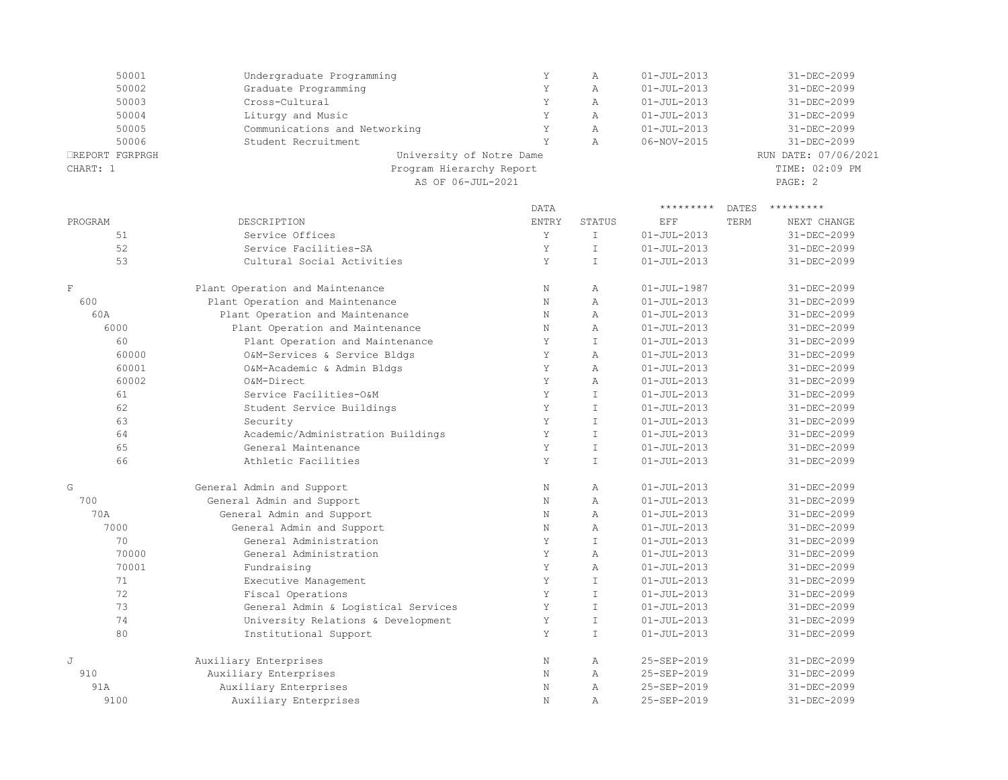| 50001           | Undergraduate Programming     |                | Α | $01 - JUL - 2013$ | 31-DEC-2099          |
|-----------------|-------------------------------|----------------|---|-------------------|----------------------|
| 50002           | Graduate Programming          |                | А | $01 - JUL - 2013$ | 31-DEC-2099          |
| 50003           | Cross-Cultural                | Y              | А | $01 - JUL - 2013$ | 31-DEC-2099          |
| 50004           | Liturgy and Music             |                | Α | $01 - JUL - 2013$ | 31-DEC-2099          |
| 50005           | Communications and Networking |                | Α | $01 - JUL - 2013$ | 31-DEC-2099          |
| 50006           | Student Recruitment           |                | А | 06-NOV-2015       | 31-DEC-2099          |
| □REPORT FGRPRGH | University of Notre Dame      |                |   |                   | RUN DATE: 07/06/2021 |
| CHART: 1        | Program Hierarchy Report      | TIME: 02:09 PM |   |                   |                      |
|                 | AS OF 06-JUL-2021             |                |   |                   | PAGE: 2              |
|                 |                               |                |   |                   |                      |

|                |                                     | <b>DATA</b>  |               | *********         | <b>DATES</b> | *********         |
|----------------|-------------------------------------|--------------|---------------|-------------------|--------------|-------------------|
| PROGRAM        | DESCRIPTION                         | <b>ENTRY</b> | STATUS        | EFF               | TERM         | NEXT CHANGE       |
| 51             | Service Offices                     | Y            | $\mathbbm{I}$ | $01 - JUL - 2013$ |              | $31 - DEC - 2099$ |
| 52             | Service Facilities-SA               | Y            | $\mathbb{I}$  | $01 - JUL - 2013$ |              | 31-DEC-2099       |
| 53             | Cultural Social Activities          | Y            | $\mathbb{I}$  | $01 - JUL - 2013$ |              | $31 - DEC - 2099$ |
| $\mathbf F$    | Plant Operation and Maintenance     | N            | Α             | $01 - JUL - 1987$ |              | 31-DEC-2099       |
| 600            | Plant Operation and Maintenance     | $\mathbf N$  | $\mathbb{A}$  | $01 - JUL - 2013$ |              | $31 - DEC - 2099$ |
| 60A            | Plant Operation and Maintenance     | $\mathbb N$  | $\mathbb{A}$  | $01 - JUL - 2013$ |              | 31-DEC-2099       |
| 6000           | Plant Operation and Maintenance     | $\mathbf N$  | $\mathbb{A}$  | $01 - JUL - 2013$ |              | 31-DEC-2099       |
| 60             | Plant Operation and Maintenance     | Y            | $\mathbb{I}$  | $01 - JUL - 2013$ |              | 31-DEC-2099       |
| 60000          | O&M-Services & Service Bldgs        | Y            | $\mathbb{A}$  | $01 - JUL - 2013$ |              | $31 - DEC - 2099$ |
| 60001          | O&M-Academic & Admin Bldgs          | Y            | $\mathbb{A}$  | $01 - JUL - 2013$ |              | $31 - DEC - 2099$ |
| 60002          | O&M-Direct                          | Y            | $\mathbb{A}$  | $01 - JUL - 2013$ |              | 31-DEC-2099       |
| 61             | Service Facilities-O&M              | Y            | $\top$        | $01 - JUL - 2013$ |              | $31 - DEC - 2099$ |
| 62             | Student Service Buildings           | Y            | $\mathbb{I}$  | $01 - JUL - 2013$ |              | $31 - DEC - 2099$ |
| 63             | Security                            | Y            | $\mathsf{T}$  | $01 - JUI - 2013$ |              | $31 - DFC - 2099$ |
| 64             | Academic/Administration Buildings   | Y            | $\mathbb{I}$  | $01 - JUL - 2013$ |              | 31-DEC-2099       |
| 65             | General Maintenance                 | Y            | $\mathbbm{I}$ | $01 - JUL - 2013$ |              | $31 - DEC - 2099$ |
| 66             | Athletic Facilities                 | Y            | $\mathbb{I}$  | $01 - JUL - 2013$ |              | $31 - DEC - 2099$ |
| G              | General Admin and Support           | $\mathbf N$  | $\mathbb{A}$  | $01 - JUL - 2013$ |              | 31-DEC-2099       |
| 700            | General Admin and Support           | $\mathbf N$  | $\mathbb{A}$  | $01 - JUL - 2013$ |              | $31 - DEC - 2099$ |
| 70A            | General Admin and Support           | N            | $\mathbb{A}$  | $01 - JUI - 2013$ |              | $31 - DFC - 2099$ |
| 7000           | General Admin and Support           | $\mathbb N$  | $\mathbb{A}$  | $01 - JUL - 2013$ |              | 31-DEC-2099       |
| 70             | General Administration              | Y            | $\mathbb{I}$  | $01 - JUL - 2013$ |              | $31 - DEC - 2099$ |
| 70000          | General Administration              | Y            | $\mathbb{A}$  | $01 - JUL - 2013$ |              | $31 - DEC - 2099$ |
| 70001          | Fundraising                         | Y            | $\mathbb{A}$  | $01 - JUL - 2013$ |              | $31 - DEC - 2099$ |
| 71             | Executive Management                | Y            | $\mathbb{I}$  | $01 - JUL - 2013$ |              | 31-DEC-2099       |
| 72             | Fiscal Operations                   | Y            | $\mathbb{I}$  | $01 - JUL - 2013$ |              | 31-DEC-2099       |
| 73             | General Admin & Logistical Services | Y            | $\mathbbm{I}$ | $01 - JUL - 2013$ |              | 31-DEC-2099       |
| 74             | University Relations & Development  | Y            | $\mathbbm{I}$ | $01 - JUL - 2013$ |              | 31-DEC-2099       |
| 80             | Institutional Support               | Y            | $\mathbb{I}$  | $01 - JUL - 2013$ |              | $31 - DEC - 2099$ |
| $\overline{J}$ | Auxiliary Enterprises               | $\mathbf N$  | Α             | 25-SEP-2019       |              | 31-DEC-2099       |
| 910            | Auxiliary Enterprises               | $\mathbf N$  | Α             | 25-SEP-2019       |              | 31-DEC-2099       |
| 91A            | Auxiliary Enterprises               | $\mathbb N$  | $\mathbb{A}$  | 25-SEP-2019       |              | 31-DEC-2099       |
| 9100           | Auxiliary Enterprises               | $\mathbf N$  | $\mathbb{A}$  | 25-SEP-2019       |              | 31-DEC-2099       |